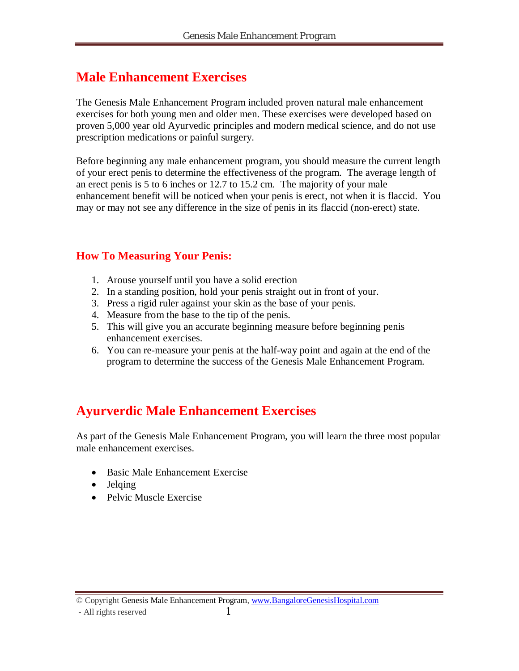#### **Male Enhancement Exercises**

The Genesis Male Enhancement Program included proven natural male enhancement exercises for both young men and older men. These exercises were developed based on proven 5,000 year old Ayurvedic principles and modern medical science, and do not use prescription medications or painful surgery.

Before beginning any male enhancement program, you should measure the current length of your erect penis to determine the effectiveness of the program. The average length of an erect penis is 5 to 6 inches or 12.7 to 15.2 cm. The majority of your male enhancement benefit will be noticed when your penis is erect, not when it is flaccid. You may or may not see any difference in the size of penis in its flaccid (non-erect) state.

#### **How To Measuring Your Penis:**

- 1. Arouse yourself until you have a solid erection
- 2. In a standing position, hold your penis straight out in front of your.
- 3. Press a rigid ruler against your skin as the base of your penis.
- 4. Measure from the base to the tip of the penis.
- 5. This will give you an accurate beginning measure before beginning penis enhancement exercises.
- 6. You can re-measure your penis at the half-way point and again at the end of the program to determine the success of the Genesis Male Enhancement Program.

#### **Ayurverdic Male Enhancement Exercises**

As part of the Genesis Male Enhancement Program, you will learn the three most popular male enhancement exercises.

- Basic Male Enhancement Exercise
- Jelqing
- Pelvic Muscle Exercise

© Copyright Genesis Male Enhancement Program, www.BangaloreGenesisHospital.com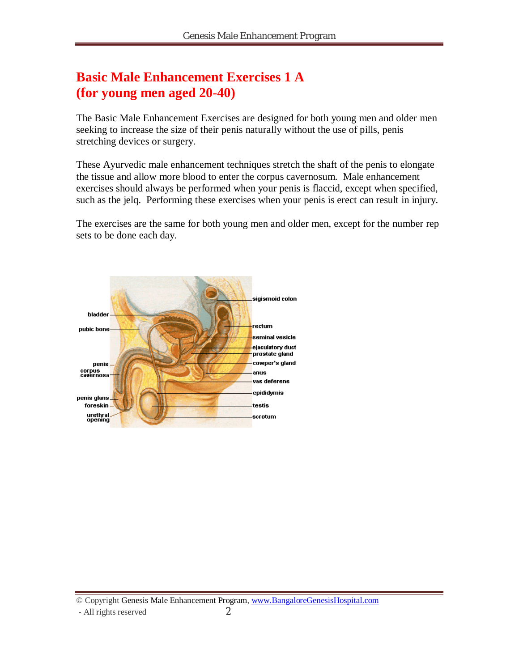#### **Basic Male Enhancement Exercises 1 A (for young men aged 20-40)**

The Basic Male Enhancement Exercises are designed for both young men and older men seeking to increase the size of their penis naturally without the use of pills, penis stretching devices or surgery.

These Ayurvedic male enhancement techniques stretch the shaft of the penis to elongate the tissue and allow more blood to enter the corpus cavernosum. Male enhancement exercises should always be performed when your penis is flaccid, except when specified, such as the jelq. Performing these exercises when your penis is erect can result in injury.

The exercises are the same for both young men and older men, except for the number rep sets to be done each day.

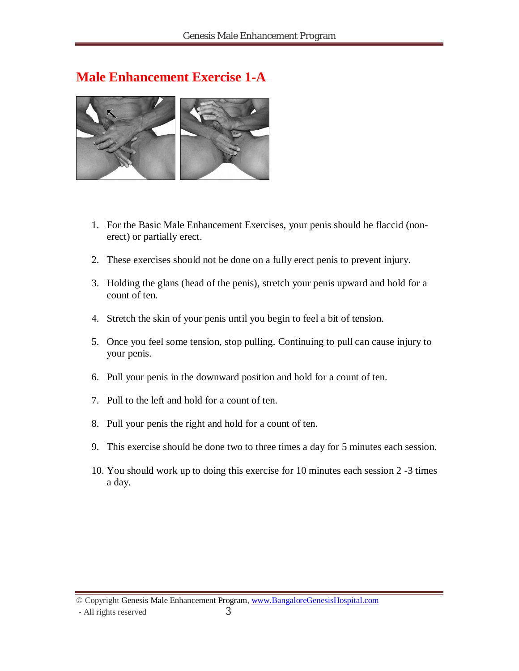#### **Male Enhancement Exercise 1-A**



- 1. For the Basic Male Enhancement Exercises, your penis should be flaccid (nonerect) or partially erect.
- 2. These exercises should not be done on a fully erect penis to prevent injury.
- 3. Holding the glans (head of the penis), stretch your penis upward and hold for a count of ten.
- 4. Stretch the skin of your penis until you begin to feel a bit of tension.
- 5. Once you feel some tension, stop pulling. Continuing to pull can cause injury to your penis.
- 6. Pull your penis in the downward position and hold for a count of ten.
- 7. Pull to the left and hold for a count of ten.
- 8. Pull your penis the right and hold for a count of ten.
- 9. This exercise should be done two to three times a day for 5 minutes each session.
- 10. You should work up to doing this exercise for 10 minutes each session 2 -3 times a day.

© Copyright Genesis Male Enhancement Program, www.BangaloreGenesisHospital.com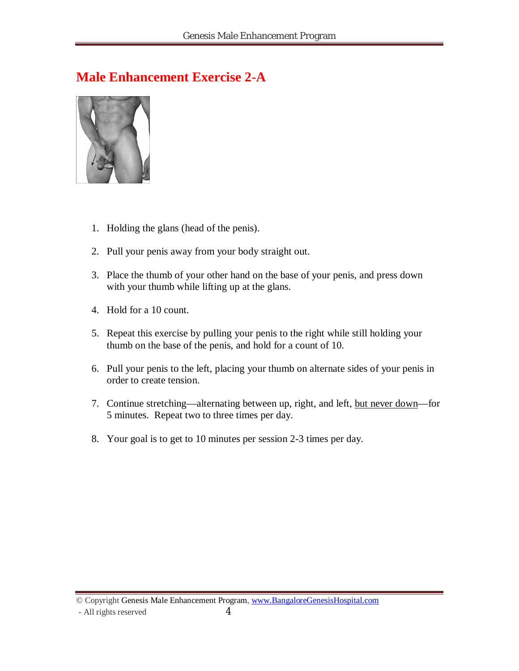#### **Male Enhancement Exercise 2-A**



- 1. Holding the glans (head of the penis).
- 2. Pull your penis away from your body straight out.
- 3. Place the thumb of your other hand on the base of your penis, and press down with your thumb while lifting up at the glans.
- 4. Hold for a 10 count.
- 5. Repeat this exercise by pulling your penis to the right while still holding your thumb on the base of the penis, and hold for a count of 10.
- 6. Pull your penis to the left, placing your thumb on alternate sides of your penis in order to create tension.
- 7. Continue stretching—alternating between up, right, and left, but never down—for 5 minutes. Repeat two to three times per day.
- 8. Your goal is to get to 10 minutes per session 2-3 times per day.

© Copyright Genesis Male Enhancement Program, www.BangaloreGenesisHospital.com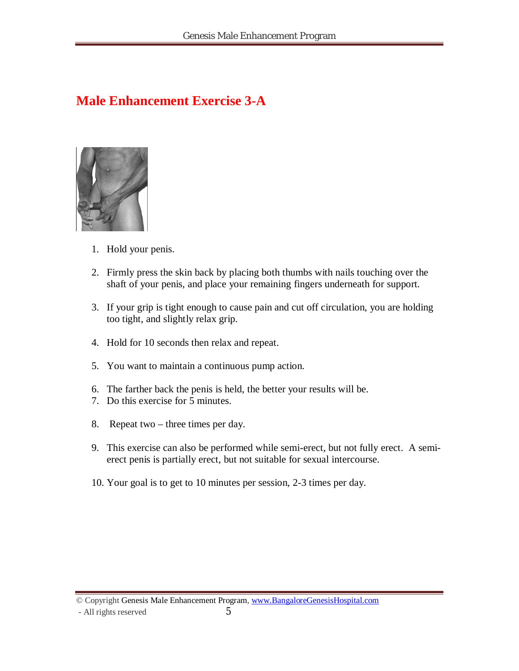### **Male Enhancement Exercise 3-A**



- 1. Hold your penis.
- 2. Firmly press the skin back by placing both thumbs with nails touching over the shaft of your penis, and place your remaining fingers underneath for support.
- 3. If your grip is tight enough to cause pain and cut off circulation, you are holding too tight, and slightly relax grip.
- 4. Hold for 10 seconds then relax and repeat.
- 5. You want to maintain a continuous pump action.
- 6. The farther back the penis is held, the better your results will be.
- 7. Do this exercise for 5 minutes.
- 8. Repeat two three times per day.
- 9. This exercise can also be performed while semi-erect, but not fully erect. A semierect penis is partially erect, but not suitable for sexual intercourse.
- 10. Your goal is to get to 10 minutes per session, 2-3 times per day.

© Copyright Genesis Male Enhancement Program, www.BangaloreGenesisHospital.com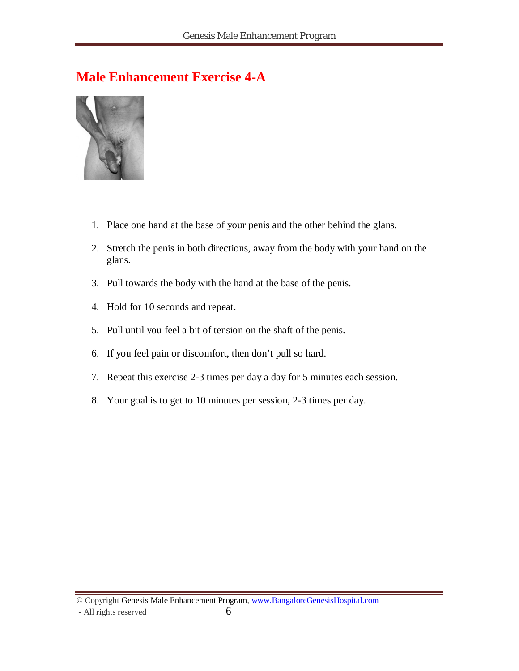#### **Male Enhancement Exercise 4-A**



- 1. Place one hand at the base of your penis and the other behind the glans.
- 2. Stretch the penis in both directions, away from the body with your hand on the glans.
- 3. Pull towards the body with the hand at the base of the penis.
- 4. Hold for 10 seconds and repeat.
- 5. Pull until you feel a bit of tension on the shaft of the penis.
- 6. If you feel pain or discomfort, then don't pull so hard.
- 7. Repeat this exercise 2-3 times per day a day for 5 minutes each session.
- 8. Your goal is to get to 10 minutes per session, 2-3 times per day.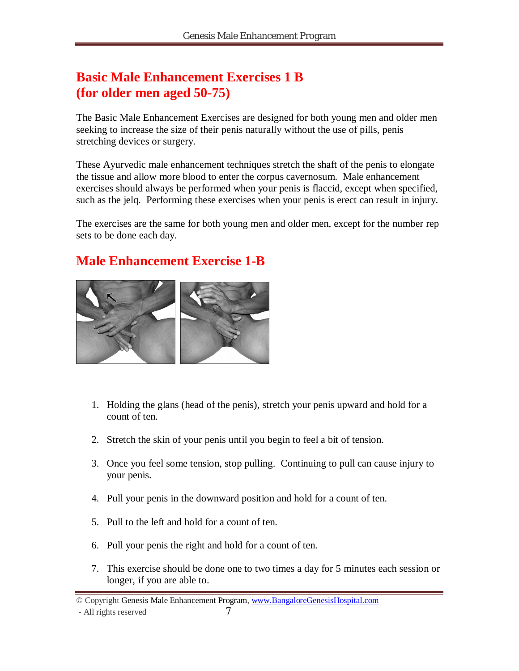### **Basic Male Enhancement Exercises 1 B (for older men aged 50-75)**

The Basic Male Enhancement Exercises are designed for both young men and older men seeking to increase the size of their penis naturally without the use of pills, penis stretching devices or surgery.

These Ayurvedic male enhancement techniques stretch the shaft of the penis to elongate the tissue and allow more blood to enter the corpus cavernosum. Male enhancement exercises should always be performed when your penis is flaccid, except when specified, such as the jelq. Performing these exercises when your penis is erect can result in injury.

The exercises are the same for both young men and older men, except for the number rep sets to be done each day.

# **Male Enhancement Exercise 1-B**



- 1. Holding the glans (head of the penis), stretch your penis upward and hold for a count of ten.
- 2. Stretch the skin of your penis until you begin to feel a bit of tension.
- 3. Once you feel some tension, stop pulling. Continuing to pull can cause injury to your penis.
- 4. Pull your penis in the downward position and hold for a count of ten.
- 5. Pull to the left and hold for a count of ten.
- 6. Pull your penis the right and hold for a count of ten.
- 7. This exercise should be done one to two times a day for 5 minutes each session or longer, if you are able to.

<sup>©</sup> Copyright Genesis Male Enhancement Program, www.BangaloreGenesisHospital.com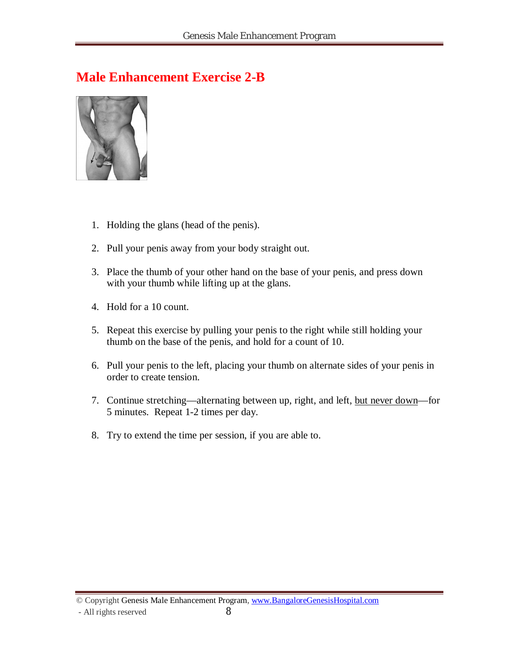#### **Male Enhancement Exercise 2-B**



- 1. Holding the glans (head of the penis).
- 2. Pull your penis away from your body straight out.
- 3. Place the thumb of your other hand on the base of your penis, and press down with your thumb while lifting up at the glans.
- 4. Hold for a 10 count.
- 5. Repeat this exercise by pulling your penis to the right while still holding your thumb on the base of the penis, and hold for a count of 10.
- 6. Pull your penis to the left, placing your thumb on alternate sides of your penis in order to create tension.
- 7. Continue stretching—alternating between up, right, and left, but never down—for 5 minutes. Repeat 1-2 times per day.
- 8. Try to extend the time per session, if you are able to.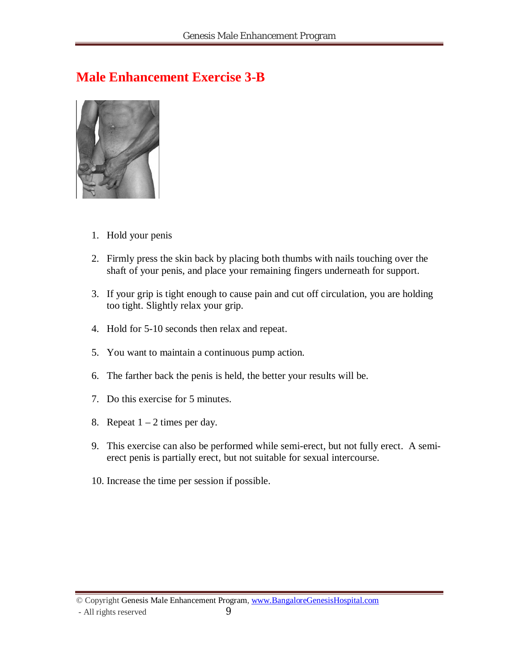#### **Male Enhancement Exercise 3-B**



- 1. Hold your penis
- 2. Firmly press the skin back by placing both thumbs with nails touching over the shaft of your penis, and place your remaining fingers underneath for support.
- 3. If your grip is tight enough to cause pain and cut off circulation, you are holding too tight. Slightly relax your grip.
- 4. Hold for 5-10 seconds then relax and repeat.
- 5. You want to maintain a continuous pump action.
- 6. The farther back the penis is held, the better your results will be.
- 7. Do this exercise for 5 minutes.
- 8. Repeat  $1 2$  times per day.
- 9. This exercise can also be performed while semi-erect, but not fully erect. A semierect penis is partially erect, but not suitable for sexual intercourse.
- 10. Increase the time per session if possible.

© Copyright Genesis Male Enhancement Program, www.BangaloreGenesisHospital.com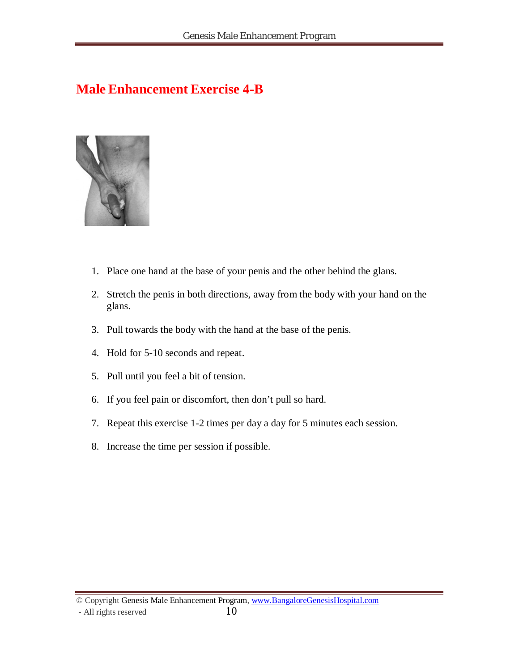#### **Male Enhancement Exercise 4-B**



- 1. Place one hand at the base of your penis and the other behind the glans.
- 2. Stretch the penis in both directions, away from the body with your hand on the glans.
- 3. Pull towards the body with the hand at the base of the penis.
- 4. Hold for 5-10 seconds and repeat.
- 5. Pull until you feel a bit of tension.
- 6. If you feel pain or discomfort, then don't pull so hard.
- 7. Repeat this exercise 1-2 times per day a day for 5 minutes each session.
- 8. Increase the time per session if possible.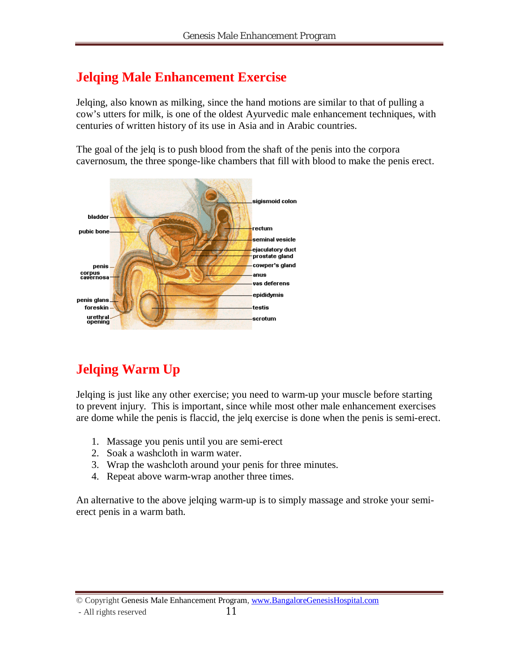### **Jelqing Male Enhancement Exercise**

Jelqing, also known as milking, since the hand motions are similar to that of pulling a cow's utters for milk, is one of the oldest Ayurvedic male enhancement techniques, with centuries of written history of its use in Asia and in Arabic countries.

The goal of the jelq is to push blood from the shaft of the penis into the corpora cavernosum, the three sponge-like chambers that fill with blood to make the penis erect.



# **Jelqing Warm Up**

Jelqing is just like any other exercise; you need to warm-up your muscle before starting to prevent injury. This is important, since while most other male enhancement exercises are dome while the penis is flaccid, the jelq exercise is done when the penis is semi-erect.

- 1. Massage you penis until you are semi-erect
- 2. Soak a washcloth in warm water.
- 3. Wrap the washcloth around your penis for three minutes.
- 4. Repeat above warm-wrap another three times.

An alternative to the above jelqing warm-up is to simply massage and stroke your semierect penis in a warm bath.

© Copyright Genesis Male Enhancement Program, www.BangaloreGenesisHospital.com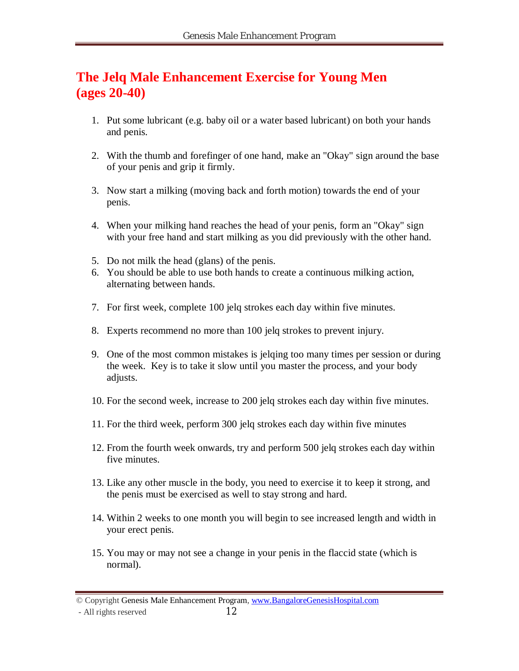#### **The Jelq Male Enhancement Exercise for Young Men (ages 20-40)**

- 1. Put some lubricant (e.g. baby oil or a water based lubricant) on both your hands and penis.
- 2. With the thumb and forefinger of one hand, make an "Okay" sign around the base of your penis and grip it firmly.
- 3. Now start a milking (moving back and forth motion) towards the end of your penis.
- 4. When your milking hand reaches the head of your penis, form an "Okay" sign with your free hand and start milking as you did previously with the other hand.
- 5. Do not milk the head (glans) of the penis.
- 6. You should be able to use both hands to create a continuous milking action, alternating between hands.
- 7. For first week, complete 100 jelq strokes each day within five minutes.
- 8. Experts recommend no more than 100 jelq strokes to prevent injury.
- 9. One of the most common mistakes is jelqing too many times per session or during the week. Key is to take it slow until you master the process, and your body adjusts.
- 10. For the second week, increase to 200 jelq strokes each day within five minutes.
- 11. For the third week, perform 300 jelq strokes each day within five minutes
- 12. From the fourth week onwards, try and perform 500 jelq strokes each day within five minutes.
- 13. Like any other muscle in the body, you need to exercise it to keep it strong, and the penis must be exercised as well to stay strong and hard.
- 14. Within 2 weeks to one month you will begin to see increased length and width in your erect penis.
- 15. You may or may not see a change in your penis in the flaccid state (which is normal).

<sup>©</sup> Copyright Genesis Male Enhancement Program, www.BangaloreGenesisHospital.com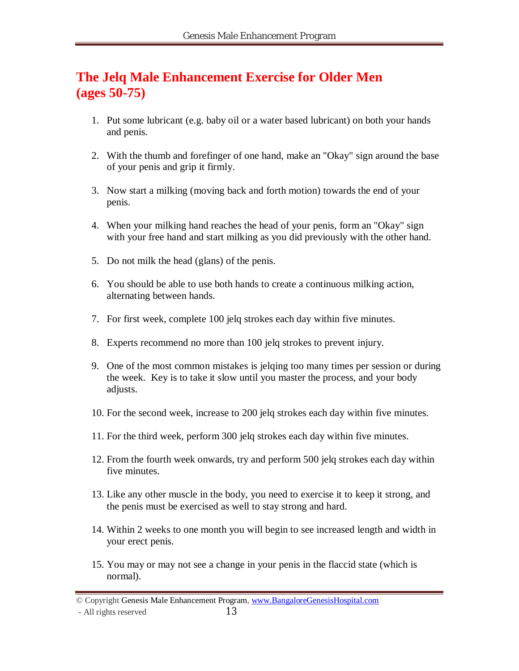#### **The Jelq Male Enhancement Exercise for Older Men (ages 50-75)**

- 1. Put some lubricant (e.g. baby oil or a water based lubricant) on both your hands and penis.
- 2. With the thumb and forefinger of one hand, make an "Okay" sign around the base of your penis and grip it firmly.
- 3. Now start a milking (moving back and forth motion) towards the end of your penis.
- 4. When your milking hand reaches the head of your penis, form an "Okay" sign with your free hand and start milking as you did previously with the other hand.
- 5. Do not milk the head (glans) of the penis.
- 6. You should be able to use both hands to create a continuous milking action, alternating between hands.
- 7. For first week, complete 100 jelq strokes each day within five minutes.
- 8. Experts recommend no more than 100 jelq strokes to prevent injury.
- 9. One of the most common mistakes is jelqing too many times per session or during the week. Key is to take it slow until you master the process, and your body adjusts.
- 10. For the second week, increase to 200 jelq strokes each day within five minutes.
- 11. For the third week, perform 300 jelq strokes each day within five minutes.
- 12. From the fourth week onwards, try and perform 500 jelq strokes each day within five minutes.
- 13. Like any other muscle in the body, you need to exercise it to keep it strong, and the penis must be exercised as well to stay strong and hard.
- 14. Within 2 weeks to one month you will begin to see increased length and width in your erect penis.
- 15. You may or may not see a change in your penis in the flaccid state (which is normal).

- All rights reserved 13

<sup>©</sup> Copyright Genesis Male Enhancement Program, www.BangaloreGenesisHospital.com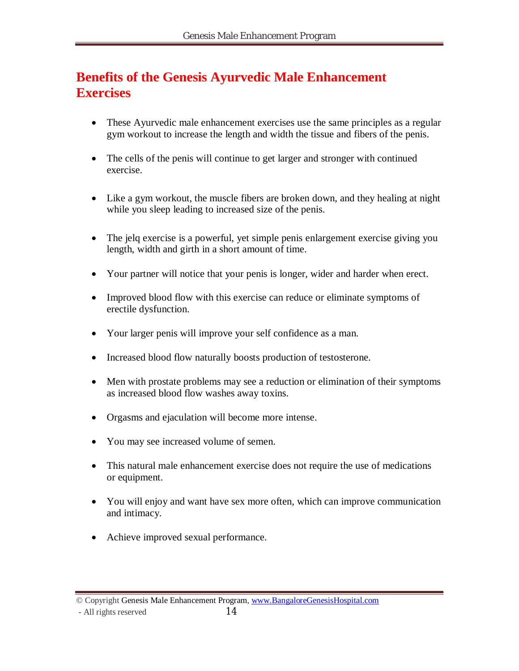#### **Benefits of the Genesis Ayurvedic Male Enhancement Exercises**

- These Ayurvedic male enhancement exercises use the same principles as a regular gym workout to increase the length and width the tissue and fibers of the penis.
- The cells of the penis will continue to get larger and stronger with continued exercise.
- Like a gym workout, the muscle fibers are broken down, and they healing at night while you sleep leading to increased size of the penis.
- The jelq exercise is a powerful, yet simple penis enlargement exercise giving you length, width and girth in a short amount of time.
- Your partner will notice that your penis is longer, wider and harder when erect.
- Improved blood flow with this exercise can reduce or eliminate symptoms of erectile dysfunction.
- Your larger penis will improve your self confidence as a man.
- Increased blood flow naturally boosts production of testosterone.
- Men with prostate problems may see a reduction or elimination of their symptoms as increased blood flow washes away toxins.
- Orgasms and ejaculation will become more intense.
- You may see increased volume of semen.
- This natural male enhancement exercise does not require the use of medications or equipment.
- You will enjoy and want have sex more often, which can improve communication and intimacy.
- Achieve improved sexual performance.

<sup>©</sup> Copyright Genesis Male Enhancement Program, www.BangaloreGenesisHospital.com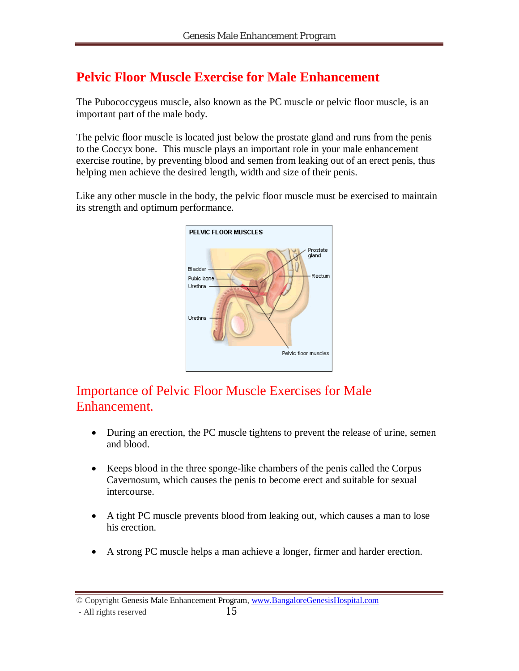### **Pelvic Floor Muscle Exercise for Male Enhancement**

The Pubococcygeus muscle, also known as the PC muscle or pelvic floor muscle, is an important part of the male body.

The pelvic floor muscle is located just below the prostate gland and runs from the penis to the Coccyx bone. This muscle plays an important role in your male enhancement exercise routine, by preventing blood and semen from leaking out of an erect penis, thus helping men achieve the desired length, width and size of their penis.

Like any other muscle in the body, the pelvic floor muscle must be exercised to maintain its strength and optimum performance.



#### Importance of Pelvic Floor Muscle Exercises for Male Enhancement.

- During an erection, the PC muscle tightens to prevent the release of urine, semen and blood.
- Keeps blood in the three sponge-like chambers of the penis called the Corpus Cavernosum, which causes the penis to become erect and suitable for sexual intercourse.
- A tight PC muscle prevents blood from leaking out, which causes a man to lose his erection.
- A strong PC muscle helps a man achieve a longer, firmer and harder erection.

<sup>©</sup> Copyright Genesis Male Enhancement Program, www.BangaloreGenesisHospital.com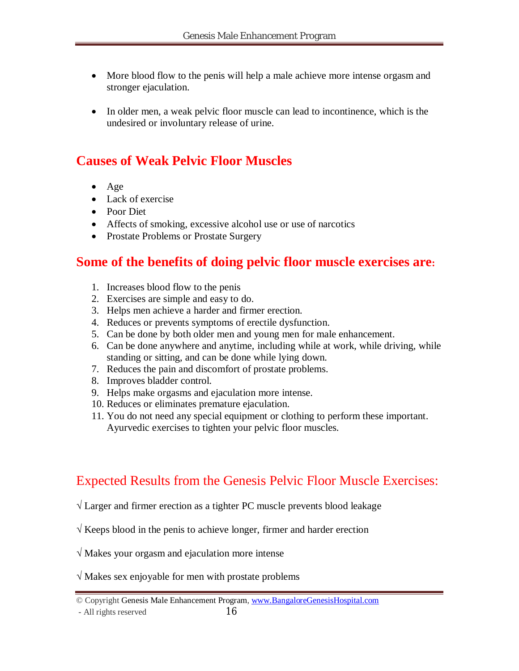- More blood flow to the penis will help a male achieve more intense orgasm and stronger ejaculation.
- In older men, a weak pelvic floor muscle can lead to incontinence, which is the undesired or involuntary release of urine.

#### **Causes of Weak Pelvic Floor Muscles**

- Age
- Lack of exercise
- Poor Diet
- Affects of smoking, excessive alcohol use or use of narcotics
- Prostate Problems or Prostate Surgery

#### **Some of the benefits of doing pelvic floor muscle exercises are:**

- 1. Increases blood flow to the penis
- 2. Exercises are simple and easy to do.
- 3. Helps men achieve a harder and firmer erection.
- 4. Reduces or prevents symptoms of erectile dysfunction.
- 5. Can be done by both older men and young men for male enhancement.
- 6. Can be done anywhere and anytime, including while at work, while driving, while standing or sitting, and can be done while lying down.
- 7. Reduces the pain and discomfort of prostate problems.
- 8. Improves bladder control.
- 9. Helps make orgasms and ejaculation more intense.
- 10. Reduces or eliminates premature ejaculation.
- 11. You do not need any special equipment or clothing to perform these important. Ayurvedic exercises to tighten your pelvic floor muscles.

#### Expected Results from the Genesis Pelvic Floor Muscle Exercises:

- **√** Larger and firmer erection as a tighter PC muscle prevents blood leakage
- **√** Keeps blood in the penis to achieve longer, firmer and harder erection
- **√** Makes your orgasm and ejaculation more intense

#### **√** Makes sex enjoyable for men with prostate problems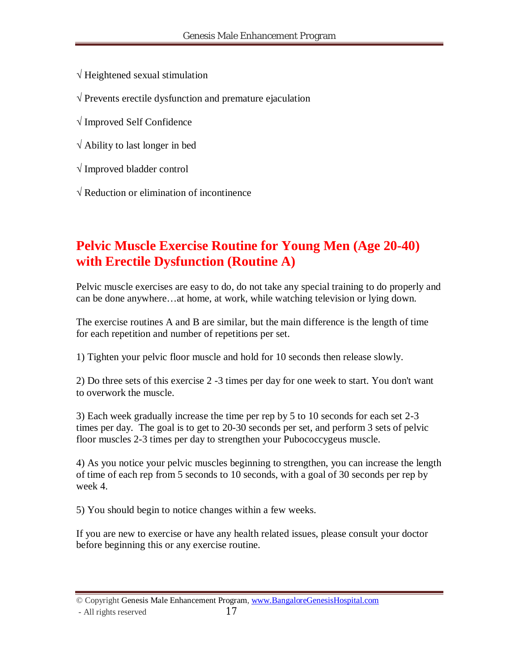**√** Heightened sexual stimulation

**√** Prevents erectile dysfunction and premature ejaculation

**√** Improved Self Confidence

**√** Ability to last longer in bed

**√** Improved bladder control

**√** Reduction or elimination of incontinence

## **Pelvic Muscle Exercise Routine for Young Men (Age 20-40) with Erectile Dysfunction (Routine A)**

Pelvic muscle exercises are easy to do, do not take any special training to do properly and can be done anywhere…at home, at work, while watching television or lying down.

The exercise routines A and B are similar, but the main difference is the length of time for each repetition and number of repetitions per set.

1) Tighten your pelvic floor muscle and hold for 10 seconds then release slowly.

2) Do three sets of this exercise 2 -3 times per day for one week to start. You don't want to overwork the muscle.

3) Each week gradually increase the time per rep by 5 to 10 seconds for each set 2-3 times per day. The goal is to get to 20-30 seconds per set, and perform 3 sets of pelvic floor muscles 2-3 times per day to strengthen your Pubococcygeus muscle.

4) As you notice your pelvic muscles beginning to strengthen, you can increase the length of time of each rep from 5 seconds to 10 seconds, with a goal of 30 seconds per rep by week 4.

5) You should begin to notice changes within a few weeks.

If you are new to exercise or have any health related issues, please consult your doctor before beginning this or any exercise routine.

© Copyright Genesis Male Enhancement Program, www.BangaloreGenesisHospital.com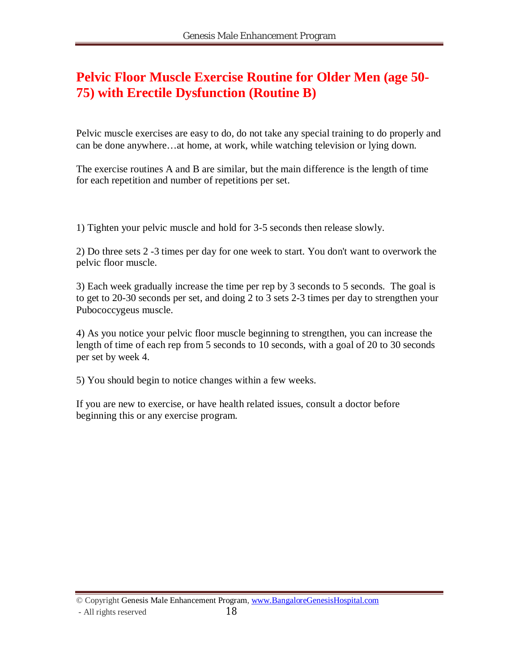#### **Pelvic Floor Muscle Exercise Routine for Older Men (age 50- 75) with Erectile Dysfunction (Routine B)**

Pelvic muscle exercises are easy to do, do not take any special training to do properly and can be done anywhere…at home, at work, while watching television or lying down.

The exercise routines A and B are similar, but the main difference is the length of time for each repetition and number of repetitions per set.

1) Tighten your pelvic muscle and hold for 3-5 seconds then release slowly.

2) Do three sets 2 -3 times per day for one week to start. You don't want to overwork the pelvic floor muscle.

3) Each week gradually increase the time per rep by 3 seconds to 5 seconds. The goal is to get to 20-30 seconds per set, and doing 2 to 3 sets 2-3 times per day to strengthen your Pubococcygeus muscle.

4) As you notice your pelvic floor muscle beginning to strengthen, you can increase the length of time of each rep from 5 seconds to 10 seconds, with a goal of 20 to 30 seconds per set by week 4.

5) You should begin to notice changes within a few weeks.

If you are new to exercise, or have health related issues, consult a doctor before beginning this or any exercise program.